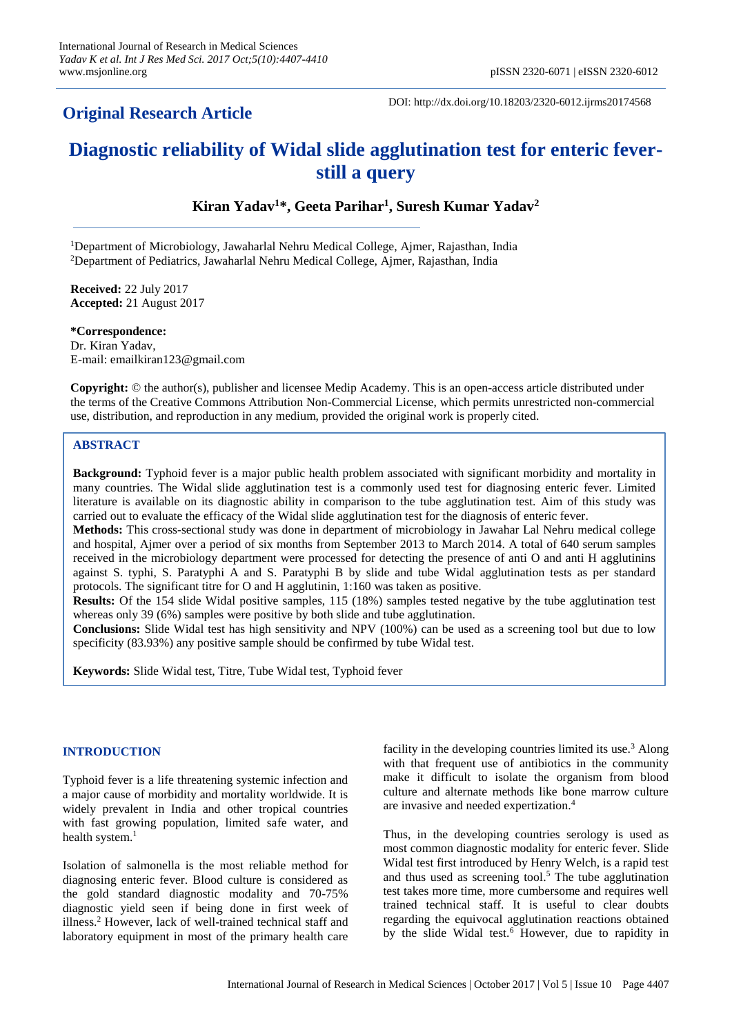# **Original Research Article**

DOI: http://dx.doi.org/10.18203/2320-6012.ijrms20174568

# **Diagnostic reliability of Widal slide agglutination test for enteric feverstill a query**

**Kiran Yadav<sup>1</sup>\*, Geeta Parihar<sup>1</sup> , Suresh Kumar Yadav<sup>2</sup>**

<sup>1</sup>Department of Microbiology, Jawaharlal Nehru Medical College, Ajmer, Rajasthan, India <sup>2</sup>Department of Pediatrics, Jawaharlal Nehru Medical College, Ajmer, Rajasthan, India

**Received:** 22 July 2017 **Accepted:** 21 August 2017

**\*Correspondence:** Dr. Kiran Yadav, E-mail: emailkiran123@gmail.com

**Copyright:** © the author(s), publisher and licensee Medip Academy. This is an open-access article distributed under the terms of the Creative Commons Attribution Non-Commercial License, which permits unrestricted non-commercial use, distribution, and reproduction in any medium, provided the original work is properly cited.

# **ABSTRACT**

**Background:** Typhoid fever is a major public health problem associated with significant morbidity and mortality in many countries. The Widal slide agglutination test is a commonly used test for diagnosing enteric fever. Limited literature is available on its diagnostic ability in comparison to the tube agglutination test. Aim of this study was carried out to evaluate the efficacy of the Widal slide agglutination test for the diagnosis of enteric fever.

**Methods:** This cross-sectional study was done in department of microbiology in Jawahar Lal Nehru medical college and hospital, Ajmer over a period of six months from September 2013 to March 2014. A total of 640 serum samples received in the microbiology department were processed for detecting the presence of anti O and anti H agglutinins against S. typhi, S. Paratyphi A and S. Paratyphi B by slide and tube Widal agglutination tests as per standard protocols. The significant titre for O and H agglutinin, 1:160 was taken as positive.

**Results:** Of the 154 slide Widal positive samples, 115 (18%) samples tested negative by the tube agglutination test whereas only 39 (6%) samples were positive by both slide and tube agglutination.

**Conclusions:** Slide Widal test has high sensitivity and NPV (100%) can be used as a screening tool but due to low specificity (83.93%) any positive sample should be confirmed by tube Widal test.

**Keywords:** Slide Widal test, Titre, Tube Widal test, Typhoid fever

# **INTRODUCTION**

Typhoid fever is a life threatening systemic infection and a major cause of morbidity and mortality worldwide. It is widely prevalent in India and other tropical countries with fast growing population, limited safe water, and health system. $1$ 

Isolation of salmonella is the most reliable method for diagnosing enteric fever. Blood culture is considered as the gold standard diagnostic modality and 70-75% diagnostic yield seen if being done in first week of illness. <sup>2</sup> However, lack of well-trained technical staff and laboratory equipment in most of the primary health care facility in the developing countries limited its use. $3$  Along with that frequent use of antibiotics in the community make it difficult to isolate the organism from blood culture and alternate methods like bone marrow culture are invasive and needed expertization. 4

Thus, in the developing countries serology is used as most common diagnostic modality for enteric fever. Slide Widal test first introduced by Henry Welch, is a rapid test and thus used as screening tool. <sup>5</sup> The tube agglutination test takes more time, more cumbersome and requires well trained technical staff. It is useful to clear doubts regarding the equivocal agglutination reactions obtained by the slide Widal test.<sup>6</sup> However, due to rapidity in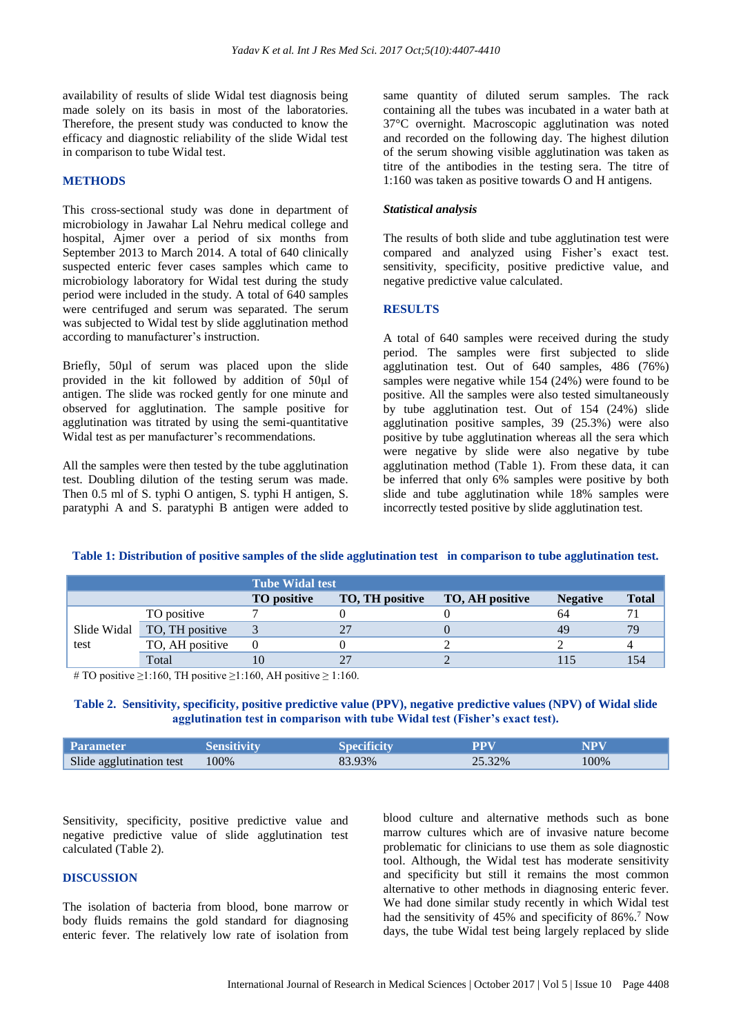availability of results of slide Widal test diagnosis being made solely on its basis in most of the laboratories. Therefore, the present study was conducted to know the efficacy and diagnostic reliability of the slide Widal test in comparison to tube Widal test.

#### **METHODS**

This cross-sectional study was done in department of microbiology in Jawahar Lal Nehru medical college and hospital, Ajmer over a period of six months from September 2013 to March 2014. A total of 640 clinically suspected enteric fever cases samples which came to microbiology laboratory for Widal test during the study period were included in the study. A total of 640 samples were centrifuged and serum was separated. The serum was subjected to Widal test by slide agglutination method according to manufacturer's instruction.

Briefly, 50µl of serum was placed upon the slide provided in the kit followed by addition of 50μl of antigen. The slide was rocked gently for one minute and observed for agglutination. The sample positive for agglutination was titrated by using the semi-quantitative Widal test as per manufacturer's recommendations.

All the samples were then tested by the tube agglutination test. Doubling dilution of the testing serum was made. Then 0.5 ml of S. typhi O antigen, S. typhi H antigen, S. paratyphi A and S. paratyphi B antigen were added to same quantity of diluted serum samples. The rack containing all the tubes was incubated in a water bath at 37°C overnight. Macroscopic agglutination was noted and recorded on the following day. The highest dilution of the serum showing visible agglutination was taken as titre of the antibodies in the testing sera. The titre of 1:160 was taken as positive towards O and H antigens.

#### *Statistical analysis*

The results of both slide and tube agglutination test were compared and analyzed using Fisher's exact test. sensitivity, specificity, positive predictive value, and negative predictive value calculated.

#### **RESULTS**

A total of 640 samples were received during the study period. The samples were first subjected to slide agglutination test. Out of 640 samples, 486 (76%) samples were negative while 154 (24%) were found to be positive. All the samples were also tested simultaneously by tube agglutination test. Out of 154 (24%) slide agglutination positive samples, 39 (25.3%) were also positive by tube agglutination whereas all the sera which were negative by slide were also negative by tube agglutination method (Table 1). From these data, it can be inferred that only 6% samples were positive by both slide and tube agglutination while 18% samples were incorrectly tested positive by slide agglutination test.

|                     |                 | <b>Tube Widal test</b> |                 |                 |                 |              |  |
|---------------------|-----------------|------------------------|-----------------|-----------------|-----------------|--------------|--|
|                     |                 | TO positive            | TO, TH positive | TO, AH positive | <b>Negative</b> | <b>Total</b> |  |
| Slide Widal<br>test | TO positive     |                        |                 |                 | 64              |              |  |
|                     | TO, TH positive |                        |                 |                 | 49              | 70           |  |
|                     | TO, AH positive |                        |                 |                 |                 |              |  |
|                     | Total           |                        |                 |                 |                 | 154          |  |

# **Table 1: Distribution of positive samples of the slide agglutination test in comparison to tube agglutination test.**

# TO positive  $\geq$ 1:160, TH positive  $\geq$ 1:160, AH positive  $\geq$  1:160.

#### **Table 2. Sensitivity, specificity, positive predictive value (PPV), negative predictive values (NPV) of Widal slide agglutination test in comparison with tube Widal test (Fisher's exact test).**

| <b>Parameter</b>         | Sensitivitv | Specificitv | PPV    | NPV  |
|--------------------------|-------------|-------------|--------|------|
| Slide agglutination test | 100%        | 83.93%      | 25.32% | 100% |

Sensitivity, specificity, positive predictive value and negative predictive value of slide agglutination test calculated (Table 2).

#### **DISCUSSION**

The isolation of bacteria from blood, bone marrow or body fluids remains the gold standard for diagnosing enteric fever. The relatively low rate of isolation from blood culture and alternative methods such as bone marrow cultures which are of invasive nature become problematic for clinicians to use them as sole diagnostic tool. Although, the Widal test has moderate sensitivity and specificity but still it remains the most common alternative to other methods in diagnosing enteric fever. We had done similar study recently in which Widal test had the sensitivity of 45% and specificity of 86%.<sup>7</sup> Now days, the tube Widal test being largely replaced by slide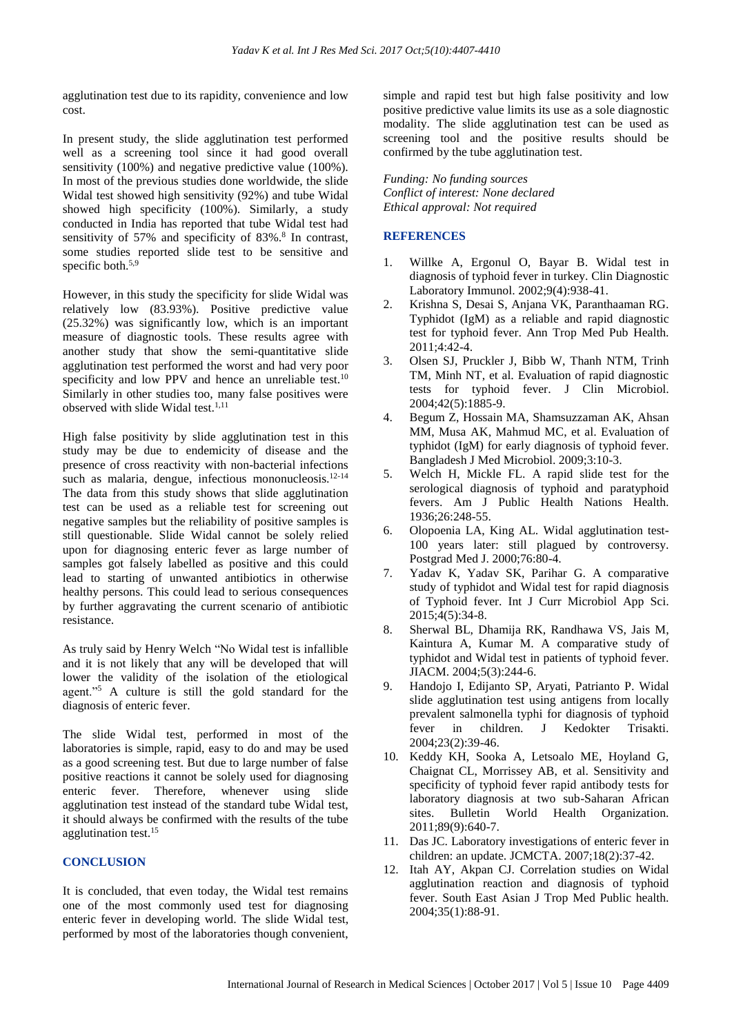agglutination test due to its rapidity, convenience and low cost.

In present study, the slide agglutination test performed well as a screening tool since it had good overall sensitivity (100%) and negative predictive value (100%). In most of the previous studies done worldwide, the slide Widal test showed high sensitivity (92%) and tube Widal showed high specificity (100%). Similarly, a study conducted in India has reported that tube Widal test had sensitivity of 57% and specificity of 83%.<sup>8</sup> In contrast, some studies reported slide test to be sensitive and specific both. $5,9$ 

However, in this study the specificity for slide Widal was relatively low (83.93%). Positive predictive value (25.32%) was significantly low, which is an important measure of diagnostic tools. These results agree with another study that show the semi-quantitative slide agglutination test performed the worst and had very poor specificity and low PPV and hence an unreliable test.<sup>10</sup> Similarly in other studies too, many false positives were observed with slide Widal test. 1,11

High false positivity by slide agglutination test in this study may be due to endemicity of disease and the presence of cross reactivity with non-bacterial infections such as malaria, dengue, infectious mononucleosis.<sup>12-14</sup> The data from this study shows that slide agglutination test can be used as a reliable test for screening out negative samples but the reliability of positive samples is still questionable. Slide Widal cannot be solely relied upon for diagnosing enteric fever as large number of samples got falsely labelled as positive and this could lead to starting of unwanted antibiotics in otherwise healthy persons. This could lead to serious consequences by further aggravating the current scenario of antibiotic resistance.

As truly said by Henry Welch "No Widal test is infallible and it is not likely that any will be developed that will lower the validity of the isolation of the etiological agent."<sup>5</sup> A culture is still the gold standard for the diagnosis of enteric fever.

The slide Widal test, performed in most of the laboratories is simple, rapid, easy to do and may be used as a good screening test. But due to large number of false positive reactions it cannot be solely used for diagnosing enteric fever. Therefore, whenever using slide agglutination test instead of the standard tube Widal test, it should always be confirmed with the results of the tube agglutination test. 15

# **CONCLUSION**

It is concluded, that even today, the Widal test remains one of the most commonly used test for diagnosing enteric fever in developing world. The slide Widal test, performed by most of the laboratories though convenient, simple and rapid test but high false positivity and low positive predictive value limits its use as a sole diagnostic modality. The slide agglutination test can be used as screening tool and the positive results should be confirmed by the tube agglutination test.

*Funding: No funding sources Conflict of interest: None declared Ethical approval: Not required*

# **REFERENCES**

- 1. Willke A, Ergonul O, Bayar B. Widal test in diagnosis of typhoid fever in turkey. Clin Diagnostic Laboratory Immunol. 2002;9(4):938-41.
- 2. Krishna S, Desai S, Anjana VK, Paranthaaman RG. Typhidot (IgM) as a reliable and rapid diagnostic test for typhoid fever. Ann Trop Med Pub Health. 2011;4:42-4.
- 3. Olsen SJ, Pruckler J, Bibb W, Thanh NTM, Trinh TM, Minh NT, et al. Evaluation of rapid diagnostic tests for typhoid fever. J Clin Microbiol. 2004;42(5):1885-9.
- 4. Begum Z, Hossain MA, Shamsuzzaman AK, Ahsan MM, Musa AK, Mahmud MC, et al. Evaluation of typhidot (IgM) for early diagnosis of typhoid fever. Bangladesh J Med Microbiol. 2009;3:10-3.
- 5. Welch H, Mickle FL. A rapid slide test for the serological diagnosis of typhoid and paratyphoid fevers. Am J Public Health Nations Health. 1936;26:248-55.
- 6. Olopoenia LA, King AL. Widal agglutination test-100 years later: still plagued by controversy. Postgrad Med J. 2000;76:80-4.
- 7. Yadav K, Yadav SK, Parihar G. A comparative study of typhidot and Widal test for rapid diagnosis of Typhoid fever. Int J Curr Microbiol App Sci. 2015;4(5):34-8.
- 8. Sherwal BL, Dhamija RK, Randhawa VS, Jais M, Kaintura A, Kumar M. A comparative study of typhidot and Widal test in patients of typhoid fever. JIACM. 2004;5(3):244-6.
- 9. Handojo I, Edijanto SP, Aryati, Patrianto P. Widal slide agglutination test using antigens from locally prevalent salmonella typhi for diagnosis of typhoid fever in children. J Kedokter Trisakti. 2004;23(2):39-46.
- 10. Keddy KH, Sooka A, Letsoalo ME, Hoyland G, Chaignat CL, Morrissey AB, et al. Sensitivity and specificity of typhoid fever rapid antibody tests for laboratory diagnosis at two sub-Saharan African sites. Bulletin World Health Organization. 2011;89(9):640-7.
- 11. Das JC. Laboratory investigations of enteric fever in children: an update. JCMCTA. 2007;18(2):37-42.
- 12. Itah AY, Akpan CJ. Correlation studies on Widal agglutination reaction and diagnosis of typhoid fever. South East Asian J Trop Med Public health. 2004;35(1):88-91.